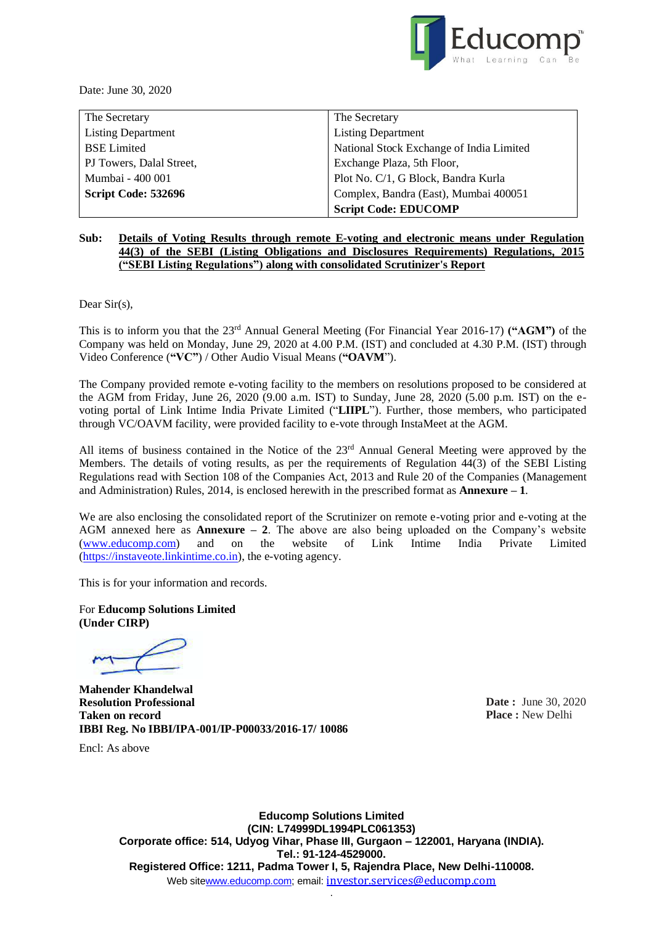

Date: June 30, 2020

| The Secretary             | The Secretary                            |  |
|---------------------------|------------------------------------------|--|
| <b>Listing Department</b> | <b>Listing Department</b>                |  |
| <b>BSE</b> Limited        | National Stock Exchange of India Limited |  |
| PJ Towers, Dalal Street,  | Exchange Plaza, 5th Floor,               |  |
| Mumbai - 400 001          | Plot No. C/1, G Block, Bandra Kurla      |  |
| Script Code: 532696       | Complex, Bandra (East), Mumbai 400051    |  |
|                           | <b>Script Code: EDUCOMP</b>              |  |

#### **Sub: Details of Voting Results through remote E-voting and electronic means under Regulation 44(3) of the SEBI (Listing Obligations and Disclosures Requirements) Regulations, 2015 ("SEBI Listing Regulations") along with consolidated Scrutinizer's Report**

Dear Sir(s).

This is to inform you that the 23rd Annual General Meeting (For Financial Year 2016-17) **("AGM")** of the Company was held on Monday, June 29, 2020 at 4.00 P.M. (IST) and concluded at 4.30 P.M. (IST) through Video Conference (**"VC"**) / Other Audio Visual Means (**"OAVM**").

The Company provided remote e-voting facility to the members on resolutions proposed to be considered at the AGM from Friday, June 26, 2020 (9.00 a.m. IST) to Sunday, June 28, 2020 (5.00 p.m. IST) on the evoting portal of Link Intime India Private Limited ("**LIIPL**"). Further, those members, who participated through VC/OAVM facility, were provided facility to e-vote through InstaMeet at the AGM.

All items of business contained in the Notice of the 23<sup>rd</sup> Annual General Meeting were approved by the Members. The details of voting results, as per the requirements of Regulation 44(3) of the SEBI Listing Regulations read with Section 108 of the Companies Act, 2013 and Rule 20 of the Companies (Management and Administration) Rules, 2014, is enclosed herewith in the prescribed format as **Annexure – 1**.

We are also enclosing the consolidated report of the Scrutinizer on remote e-voting prior and e-voting at the AGM annexed here as **Annexure – 2**. The above are also being uploaded on the Company's website [\(www.educomp.com\)](http://www.educomp.com/) and on the website of Link Intime India Private Limited [\(https://instaveote.linkintime.co.in\)](https://instaveote.linkintime.co.in/), the e-voting agency.

This is for your information and records.

For **Educomp Solutions Limited (Under CIRP)**

Encl: As above

**Mahender Khandelwal Resolution Professional Taken on record IBBI Reg. No IBBI/IPA-001/IP-P00033/2016-17/ 10086**

**Date :** June 30, 2020 **Place :** New Delhi

**Educomp Solutions Limited (CIN: L74999DL1994PLC061353) Corporate office: 514, Udyog Vihar, Phase III, Gurgaon – 122001, Haryana (INDIA). Tel.: 91-124-4529000. Registered Office: 1211, Padma Tower I, 5, Rajendra Place, New Delhi-110008.** Web sit[ewww.educomp.com;](http://www.educomp.com/) email: [investor.services@educomp.com](mailto:investor.services@educomp.com)

.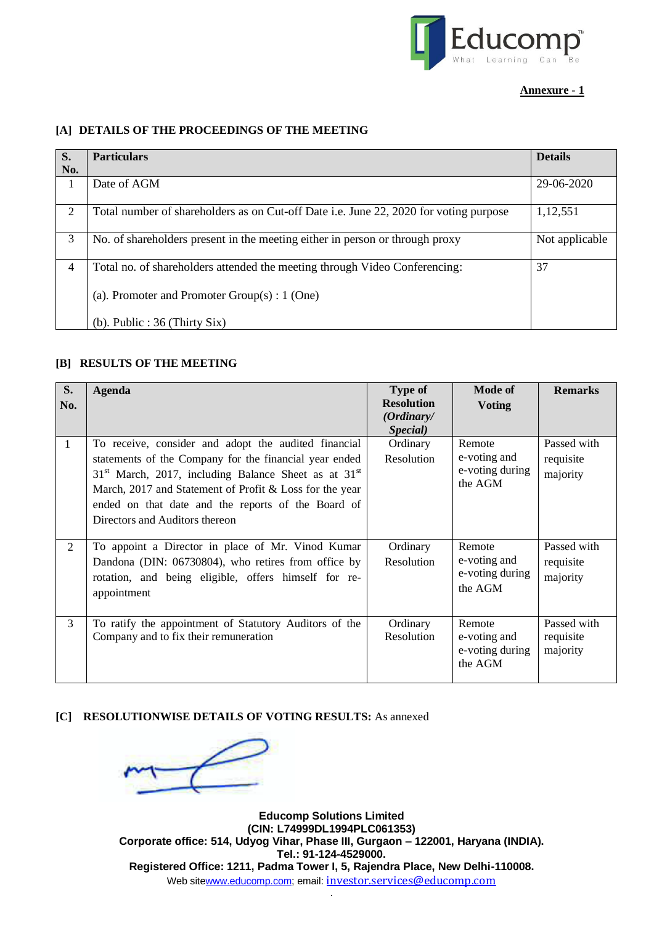

### **Annexure - 1**

# **[A] DETAILS OF THE PROCEEDINGS OF THE MEETING**

| S.           | <b>Particulars</b>                                                                    | <b>Details</b> |
|--------------|---------------------------------------------------------------------------------------|----------------|
| No.          |                                                                                       |                |
| $\mathbf{I}$ | Date of AGM                                                                           | 29-06-2020     |
| 2            | Total number of shareholders as on Cut-off Date i.e. June 22, 2020 for voting purpose | 1,12,551       |
| 3            | No. of shareholders present in the meeting either in person or through proxy          | Not applicable |
| 4            | Total no. of shareholders attended the meeting through Video Conferencing:            | 37             |
|              | (a). Promoter and Promoter $Group(s): 1$ (One)                                        |                |
|              | (b). Public : $36$ (Thirty Six)                                                       |                |

#### **[B] RESULTS OF THE MEETING**

| S.<br>No. | <b>Agenda</b>                                                                                                                                                                                                                                                                                                                 | <b>Type of</b><br><b>Resolution</b><br>(Ordinary/<br>Special) | Mode of<br><b>Voting</b>                             | <b>Remarks</b>                       |
|-----------|-------------------------------------------------------------------------------------------------------------------------------------------------------------------------------------------------------------------------------------------------------------------------------------------------------------------------------|---------------------------------------------------------------|------------------------------------------------------|--------------------------------------|
| -1        | To receive, consider and adopt the audited financial<br>statements of the Company for the financial year ended<br>$31st$ March, 2017, including Balance Sheet as at $31st$<br>March, 2017 and Statement of Profit & Loss for the year<br>ended on that date and the reports of the Board of<br>Directors and Auditors thereon | Ordinary<br><b>Resolution</b>                                 | Remote<br>e-voting and<br>e-voting during<br>the AGM | Passed with<br>requisite<br>majority |
| 2         | To appoint a Director in place of Mr. Vinod Kumar<br>Dandona (DIN: 06730804), who retires from office by<br>rotation, and being eligible, offers himself for re-<br>appointment                                                                                                                                               | Ordinary<br>Resolution                                        | Remote<br>e-voting and<br>e-voting during<br>the AGM | Passed with<br>requisite<br>majority |
| 3         | To ratify the appointment of Statutory Auditors of the<br>Company and to fix their remuneration                                                                                                                                                                                                                               | Ordinary<br>Resolution                                        | Remote<br>e-voting and<br>e-voting during<br>the AGM | Passed with<br>requisite<br>majority |

#### **[C] RESOLUTIONWISE DETAILS OF VOTING RESULTS:** As annexed



**Educomp Solutions Limited (CIN: L74999DL1994PLC061353) Corporate office: 514, Udyog Vihar, Phase III, Gurgaon – 122001, Haryana (INDIA). Tel.: 91-124-4529000. Registered Office: 1211, Padma Tower I, 5, Rajendra Place, New Delhi-110008.** Web sit[ewww.educomp.com;](http://www.educomp.com/) email: [investor.services@educomp.com](mailto:investor.services@educomp.com) .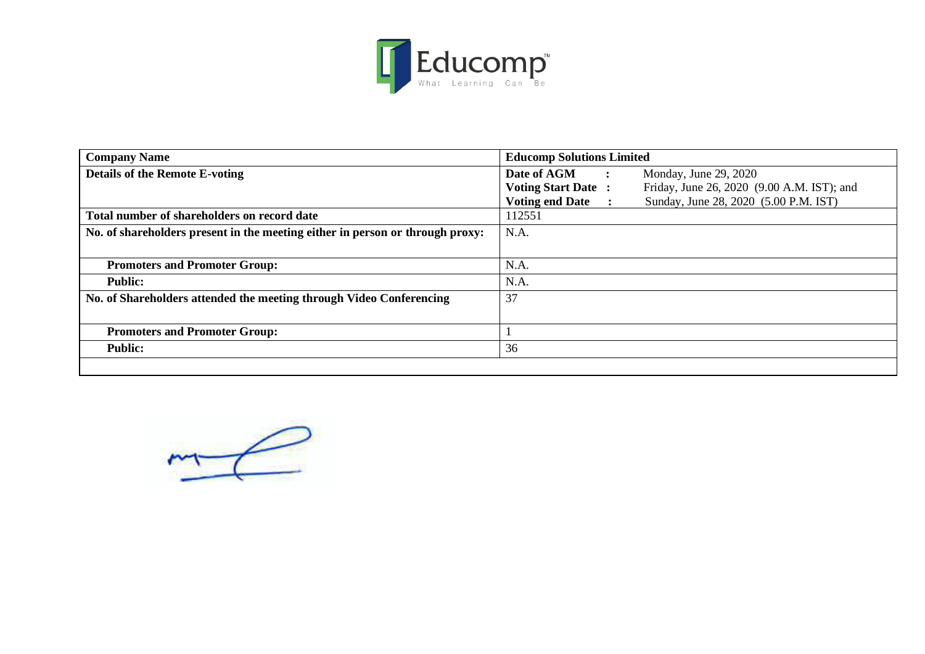

| <b>Company Name</b>                                                           | <b>Educomp Solutions Limited</b>                                             |  |  |  |  |
|-------------------------------------------------------------------------------|------------------------------------------------------------------------------|--|--|--|--|
| <b>Details of the Remote E-voting</b>                                         | Date of AGM<br>Monday, June 29, 2020<br>$\ddot{\cdot}$                       |  |  |  |  |
|                                                                               | Friday, June 26, 2020 (9.00 A.M. IST); and<br><b>Voting Start Date:</b>      |  |  |  |  |
|                                                                               | <b>Voting end Date</b><br>Sunday, June 28, 2020 (5.00 P.M. IST)<br>$\sim$ 1. |  |  |  |  |
| Total number of shareholders on record date                                   | 112551                                                                       |  |  |  |  |
| No. of shareholders present in the meeting either in person or through proxy: | N.A.                                                                         |  |  |  |  |
| <b>Promoters and Promoter Group:</b>                                          | N.A.                                                                         |  |  |  |  |
| <b>Public:</b>                                                                | N.A.                                                                         |  |  |  |  |
| No. of Shareholders attended the meeting through Video Conferencing           | 37                                                                           |  |  |  |  |
| <b>Promoters and Promoter Group:</b>                                          |                                                                              |  |  |  |  |
| <b>Public:</b>                                                                | 36                                                                           |  |  |  |  |
|                                                                               |                                                                              |  |  |  |  |

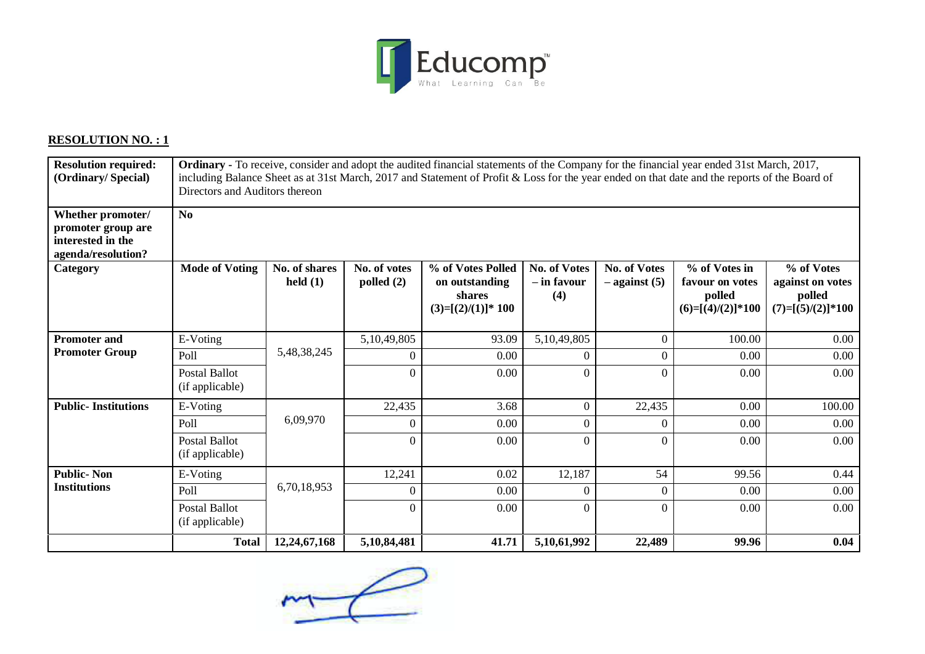

# **RESOLUTION NO. : 1**

| <b>Resolution required:</b><br>(Ordinary/Special)                                  | <b>Ordinary</b> - To receive, consider and adopt the audited financial statements of the Company for the financial year ended 31st March, 2017,<br>including Balance Sheet as at 31st March, 2017 and Statement of Profit & Loss for the year ended on that date and the reports of the Board of<br>Directors and Auditors thereon |                             |                              |                                                                      |                                           |                                          |                                                                   |                                                                 |
|------------------------------------------------------------------------------------|------------------------------------------------------------------------------------------------------------------------------------------------------------------------------------------------------------------------------------------------------------------------------------------------------------------------------------|-----------------------------|------------------------------|----------------------------------------------------------------------|-------------------------------------------|------------------------------------------|-------------------------------------------------------------------|-----------------------------------------------------------------|
| Whether promoter/<br>promoter group are<br>interested in the<br>agenda/resolution? | No                                                                                                                                                                                                                                                                                                                                 |                             |                              |                                                                      |                                           |                                          |                                                                   |                                                                 |
| Category                                                                           | <b>Mode of Voting</b>                                                                                                                                                                                                                                                                                                              | No. of shares<br>held $(1)$ | No. of votes<br>polled $(2)$ | % of Votes Polled<br>on outstanding<br>shares<br>$(3)=[(2)/(1)]*100$ | <b>No. of Votes</b><br>- in favour<br>(4) | <b>No. of Votes</b><br>$-$ against $(5)$ | % of Votes in<br>favour on votes<br>polled<br>$(6)=[(4)/(2)]*100$ | % of Votes<br>against on votes<br>polled<br>$(7)=[(5)/(2)]*100$ |
| <b>Promoter and</b>                                                                | E-Voting                                                                                                                                                                                                                                                                                                                           |                             | 5,10,49,805                  | 93.09                                                                | 5,10,49,805                               | $\mathbf{0}$                             | 100.00                                                            | 0.00                                                            |
| <b>Promoter Group</b>                                                              | Poll                                                                                                                                                                                                                                                                                                                               | 5,48,38,245                 | $\theta$                     | 0.00                                                                 | $\Omega$                                  | $\theta$                                 | 0.00                                                              | 0.00                                                            |
|                                                                                    | <b>Postal Ballot</b><br>(if applicable)                                                                                                                                                                                                                                                                                            |                             | $\theta$                     | 0.00                                                                 | 0                                         | $\Omega$                                 | 0.00                                                              | 0.00                                                            |
| <b>Public-Institutions</b>                                                         | E-Voting                                                                                                                                                                                                                                                                                                                           |                             | 22,435                       | 3.68                                                                 | $\mathbf{0}$                              | 22,435                                   | 0.00                                                              | 100.00                                                          |
|                                                                                    | Poll                                                                                                                                                                                                                                                                                                                               | 6,09,970                    | $\theta$                     | 0.00                                                                 | $\theta$                                  | $\theta$                                 | 0.00                                                              | 0.00                                                            |
|                                                                                    | <b>Postal Ballot</b><br>(if applicable)                                                                                                                                                                                                                                                                                            |                             | $\overline{0}$               | 0.00                                                                 | $\theta$                                  | $\Omega$                                 | 0.00                                                              | 0.00                                                            |
| <b>Public-Non</b>                                                                  | E-Voting                                                                                                                                                                                                                                                                                                                           |                             | 12,241                       | 0.02                                                                 | 12,187                                    | 54                                       | 99.56                                                             | 0.44                                                            |
| <b>Institutions</b>                                                                | Poll                                                                                                                                                                                                                                                                                                                               | 6,70,18,953                 | $\theta$                     | 0.00                                                                 | $\Omega$                                  | $\Omega$                                 | 0.00                                                              | 0.00                                                            |
|                                                                                    | <b>Postal Ballot</b><br>(if applicable)                                                                                                                                                                                                                                                                                            |                             | $\theta$                     | 0.00                                                                 | $\theta$                                  | $\Omega$                                 | 0.00                                                              | 0.00                                                            |
|                                                                                    | <b>Total</b>                                                                                                                                                                                                                                                                                                                       | 12,24,67,168                | 5,10,84,481                  | 41.71                                                                | 5,10,61,992                               | 22,489                                   | 99.96                                                             | 0.04                                                            |

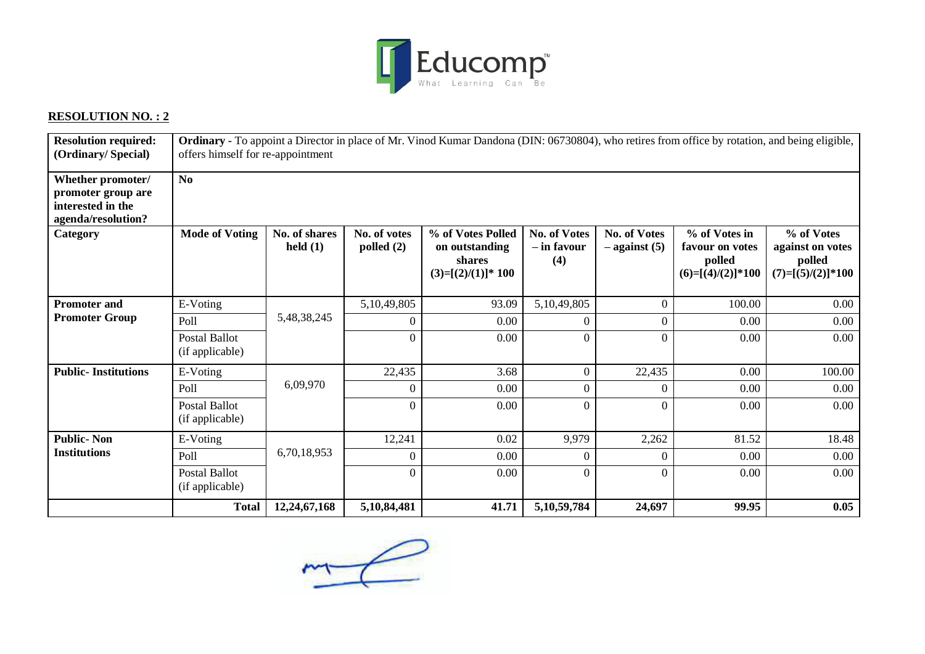

# **RESOLUTION NO. : 2**

| <b>Resolution required:</b><br>(Ordinary/Special)                                  | <b>Ordinary</b> - To appoint a Director in place of Mr. Vinod Kumar Dandona (DIN: 06730804), who retires from office by rotation, and being eligible,<br>offers himself for re-appointment |                             |                              |                                                                      |                                           |                                          |                                                                   |                                                                 |
|------------------------------------------------------------------------------------|--------------------------------------------------------------------------------------------------------------------------------------------------------------------------------------------|-----------------------------|------------------------------|----------------------------------------------------------------------|-------------------------------------------|------------------------------------------|-------------------------------------------------------------------|-----------------------------------------------------------------|
| Whether promoter/<br>promoter group are<br>interested in the<br>agenda/resolution? | No                                                                                                                                                                                         |                             |                              |                                                                      |                                           |                                          |                                                                   |                                                                 |
| Category                                                                           | <b>Mode of Voting</b>                                                                                                                                                                      | No. of shares<br>held $(1)$ | No. of votes<br>polled $(2)$ | % of Votes Polled<br>on outstanding<br>shares<br>$(3)=[(2)/(1)]*100$ | <b>No. of Votes</b><br>– in favour<br>(4) | <b>No. of Votes</b><br>$-$ against $(5)$ | % of Votes in<br>favour on votes<br>polled<br>$(6)=[(4)/(2)]*100$ | % of Votes<br>against on votes<br>polled<br>$(7)=[(5)/(2)]*100$ |
| <b>Promoter and</b>                                                                | E-Voting                                                                                                                                                                                   |                             | 5,10,49,805                  | 93.09                                                                | 5,10,49,805                               | $\boldsymbol{0}$                         | 100.00                                                            | 0.00                                                            |
| <b>Promoter Group</b>                                                              | Poll                                                                                                                                                                                       | 5,48,38,245                 | $\theta$                     | 0.00                                                                 | $\theta$                                  | $\overline{0}$                           | 0.00                                                              | 0.00                                                            |
|                                                                                    | <b>Postal Ballot</b><br>(if applicable)                                                                                                                                                    |                             | $\boldsymbol{0}$             | 0.00                                                                 | $\boldsymbol{0}$                          | $\boldsymbol{0}$                         | 0.00                                                              | 0.00                                                            |
| <b>Public-Institutions</b>                                                         | E-Voting                                                                                                                                                                                   |                             | 22,435                       | 3.68                                                                 | $\overline{0}$                            | 22,435                                   | 0.00                                                              | 100.00                                                          |
|                                                                                    | Poll                                                                                                                                                                                       | 6,09,970                    | $\theta$                     | 0.00                                                                 | 0                                         | $\Omega$                                 | 0.00                                                              | 0.00                                                            |
|                                                                                    | <b>Postal Ballot</b><br>(if applicable)                                                                                                                                                    |                             | $\theta$                     | 0.00                                                                 | $\theta$                                  | $\theta$                                 | 0.00                                                              | 0.00                                                            |
| <b>Public-Non</b>                                                                  | E-Voting                                                                                                                                                                                   |                             | 12,241                       | 0.02                                                                 | 9,979                                     | 2,262                                    | 81.52                                                             | 18.48                                                           |
| <b>Institutions</b>                                                                | Poll                                                                                                                                                                                       | 6,70,18,953                 | $\overline{0}$               | 0.00                                                                 | $\theta$                                  | $\theta$                                 | 0.00                                                              | 0.00                                                            |
|                                                                                    | <b>Postal Ballot</b><br>(if applicable)                                                                                                                                                    |                             | $\overline{0}$               | 0.00                                                                 | $\overline{0}$                            | $\Omega$                                 | 0.00                                                              | 0.00                                                            |
|                                                                                    | <b>Total</b>                                                                                                                                                                               | 12,24,67,168                | 5,10,84,481                  | 41.71                                                                | 5,10,59,784                               | 24,697                                   | 99.95                                                             | 0.05                                                            |

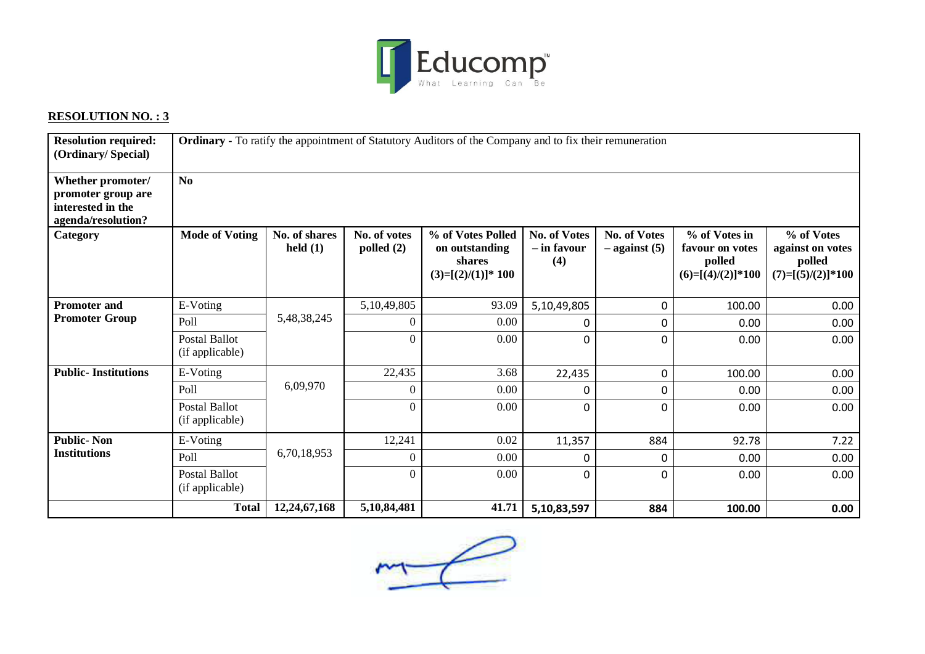

# **RESOLUTION NO. : 3**

| <b>Resolution required:</b><br>(Ordinary/Special)                                  | Ordinary - To ratify the appointment of Statutory Auditors of the Company and to fix their remuneration |                             |                              |                                                                      |                                           |                                          |                                                                   |                                                                 |
|------------------------------------------------------------------------------------|---------------------------------------------------------------------------------------------------------|-----------------------------|------------------------------|----------------------------------------------------------------------|-------------------------------------------|------------------------------------------|-------------------------------------------------------------------|-----------------------------------------------------------------|
| Whether promoter/<br>promoter group are<br>interested in the<br>agenda/resolution? | No                                                                                                      |                             |                              |                                                                      |                                           |                                          |                                                                   |                                                                 |
| <b>Category</b>                                                                    | <b>Mode of Voting</b>                                                                                   | No. of shares<br>held $(1)$ | No. of votes<br>polled $(2)$ | % of Votes Polled<br>on outstanding<br>shares<br>$(3)=[(2)/(1)]*100$ | <b>No. of Votes</b><br>– in favour<br>(4) | <b>No. of Votes</b><br>$-$ against $(5)$ | % of Votes in<br>favour on votes<br>polled<br>$(6)=[(4)/(2)]*100$ | % of Votes<br>against on votes<br>polled<br>$(7)=[(5)/(2)]*100$ |
| <b>Promoter and</b>                                                                | E-Voting                                                                                                |                             | 5,10,49,805                  | 93.09                                                                | 5,10,49,805                               | 0                                        | 100.00                                                            | 0.00                                                            |
| <b>Promoter Group</b>                                                              | Poll                                                                                                    | 5,48,38,245                 | $\boldsymbol{0}$             | 0.00                                                                 | 0                                         | 0                                        | 0.00                                                              | 0.00                                                            |
|                                                                                    | <b>Postal Ballot</b><br>(if applicable)                                                                 |                             | $\overline{0}$               | 0.00                                                                 | 0                                         | 0                                        | 0.00                                                              | 0.00                                                            |
| <b>Public-Institutions</b>                                                         | E-Voting                                                                                                |                             | 22,435                       | 3.68                                                                 | 22,435                                    | 0                                        | 100.00                                                            | 0.00                                                            |
|                                                                                    | Poll                                                                                                    | 6,09,970                    | $\boldsymbol{0}$             | 0.00                                                                 | 0                                         | 0                                        | 0.00                                                              | 0.00                                                            |
|                                                                                    | <b>Postal Ballot</b><br>(if applicable)                                                                 |                             | $\theta$                     | 0.00                                                                 | 0                                         | 0                                        | 0.00                                                              | 0.00                                                            |
| <b>Public-Non</b>                                                                  | E-Voting                                                                                                |                             | 12,241                       | 0.02                                                                 | 11,357                                    | 884                                      | 92.78                                                             | 7.22                                                            |
| <b>Institutions</b>                                                                | Poll                                                                                                    | 6,70,18,953                 | $\boldsymbol{0}$             | 0.00                                                                 | 0                                         | 0                                        | 0.00                                                              | 0.00                                                            |
|                                                                                    | <b>Postal Ballot</b><br>(if applicable)                                                                 |                             | $\mathbf{0}$                 | 0.00                                                                 | 0                                         | $\mathbf{0}$                             | 0.00                                                              | 0.00                                                            |
|                                                                                    | <b>Total</b>                                                                                            | 12,24,67,168                | 5,10,84,481                  | 41.71                                                                | 5,10,83,597                               | 884                                      | 100.00                                                            | 0.00                                                            |

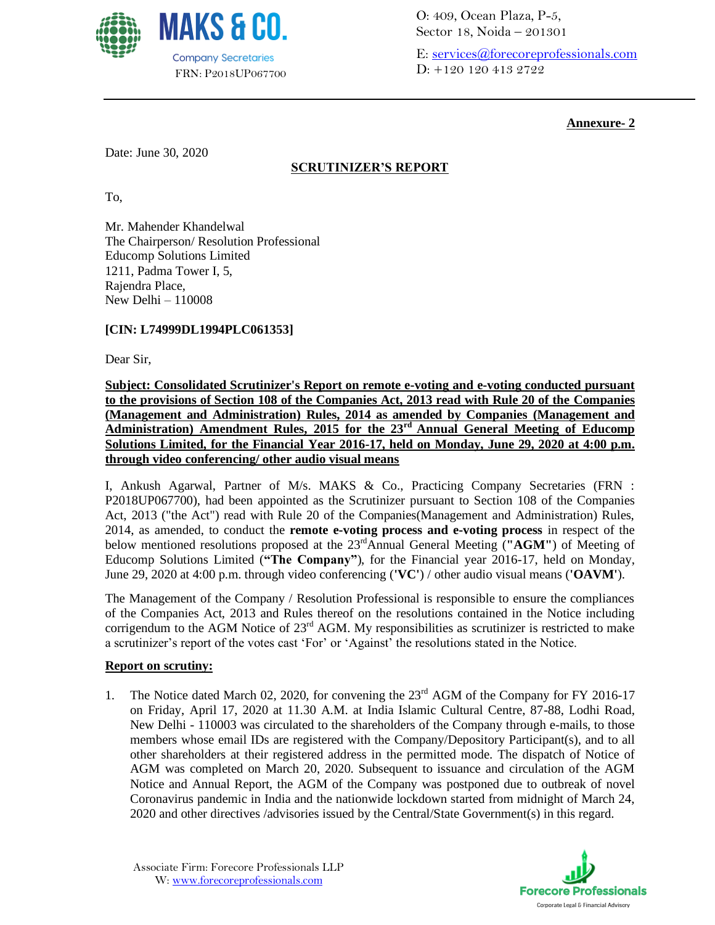

O: 409, Ocean Plaza, P-5, Sector 18, Noida – 201301

E: [services@forecoreprofessionals.com](mailto:services@forecoreprofessionals.com) D: +120 120 413 2722

# **Annexure- 2**

Date: June 30, 2020

# **SCRUTINIZER'S REPORT**

To,

Mr. Mahender Khandelwal The Chairperson/ Resolution Professional Educomp Solutions Limited 1211, Padma Tower I, 5, Rajendra Place, New Delhi – 110008

## **[CIN: L74999DL1994PLC061353]**

Dear Sir,

**Subject: Consolidated Scrutinizer's Report on remote e-voting and e-voting conducted pursuant to the provisions of Section 108 of the Companies Act, 2013 read with Rule 20 of the Companies (Management and Administration) Rules, 2014 as amended by Companies (Management and Administration) Amendment Rules, 2015 for the 23rd Annual General Meeting of Educomp Solutions Limited, for the Financial Year 2016-17, held on Monday, June 29, 2020 at 4:00 p.m. through video conferencing/ other audio visual means**

I, Ankush Agarwal, Partner of M/s. MAKS & Co., Practicing Company Secretaries (FRN : P2018UP067700), had been appointed as the Scrutinizer pursuant to Section 108 of the Companies Act, 2013 ("the Act") read with Rule 20 of the Companies(Management and Administration) Rules, 2014, as amended, to conduct the **remote e-voting process and e-voting process** in respect of the below mentioned resolutions proposed at the 23rdAnnual General Meeting (**"AGM"**) of Meeting of Educomp Solutions Limited (**"The Company"**), for the Financial year 2016-17, held on Monday, June 29, 2020 at 4:00 p.m. through video conferencing (**'VC'**) / other audio visual means (**'OAVM'**).

The Management of the Company / Resolution Professional is responsible to ensure the compliances of the Companies Act, 2013 and Rules thereof on the resolutions contained in the Notice including corrigendum to the AGM Notice of  $23<sup>rd</sup>$  AGM. My responsibilities as scrutinizer is restricted to make a scrutinizer's report of the votes cast 'For' or 'Against' the resolutions stated in the Notice.

#### **Report on scrutiny:**

1. The Notice dated March 02, 2020, for convening the 23<sup>rd</sup> AGM of the Company for FY 2016-17 on Friday, April 17, 2020 at 11.30 A.M. at India Islamic Cultural Centre, 87-88, Lodhi Road, New Delhi - 110003 was circulated to the shareholders of the Company through e-mails, to those members whose email IDs are registered with the Company/Depository Participant(s), and to all other shareholders at their registered address in the permitted mode. The dispatch of Notice of AGM was completed on March 20, 2020. Subsequent to issuance and circulation of the AGM Notice and Annual Report, the AGM of the Company was postponed due to outbreak of novel Coronavirus pandemic in India and the nationwide lockdown started from midnight of March 24, 2020 and other directives /advisories issued by the Central/State Government(s) in this regard.

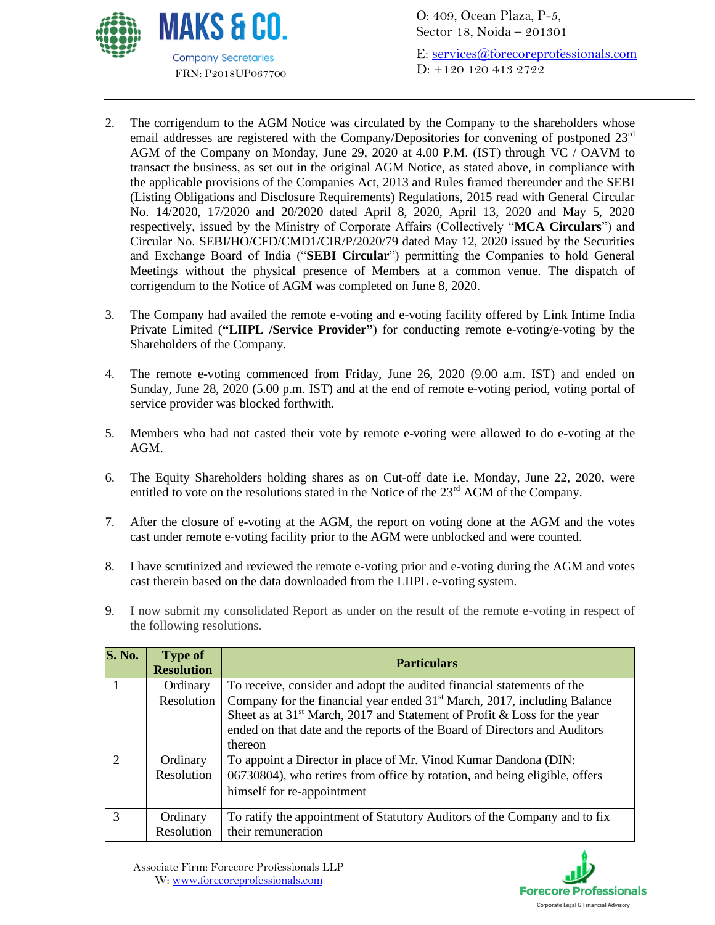

O: 409, Ocean Plaza, P-5, Sector 18, Noida – 201301

E: [services@forecoreprofessionals.com](mailto:services@forecoreprofessionals.com) D: +120 120 413 2722

- 2. The corrigendum to the AGM Notice was circulated by the Company to the shareholders whose email addresses are registered with the Company/Depositories for convening of postponed 23rd AGM of the Company on Monday, June 29, 2020 at 4.00 P.M. (IST) through VC / OAVM to transact the business, as set out in the original AGM Notice, as stated above, in compliance with the applicable provisions of the Companies Act, 2013 and Rules framed thereunder and the SEBI (Listing Obligations and Disclosure Requirements) Regulations, 2015 read with General Circular No. 14/2020, 17/2020 and 20/2020 dated April 8, 2020, April 13, 2020 and May 5, 2020 respectively, issued by the Ministry of Corporate Affairs (Collectively "**MCA Circulars**") and Circular No. SEBI/HO/CFD/CMD1/CIR/P/2020/79 dated May 12, 2020 issued by the Securities and Exchange Board of India ("**SEBI Circular**") permitting the Companies to hold General Meetings without the physical presence of Members at a common venue. The dispatch of corrigendum to the Notice of AGM was completed on June 8, 2020.
- 3. The Company had availed the remote e-voting and e-voting facility offered by Link Intime India Private Limited (**"LIIPL /Service Provider"**) for conducting remote e-voting/e-voting by the Shareholders of the Company.
- 4. The remote e-voting commenced from Friday, June 26, 2020 (9.00 a.m. IST) and ended on Sunday, June 28, 2020 (5.00 p.m. IST) and at the end of remote e-voting period, voting portal of service provider was blocked forthwith.
- 5. Members who had not casted their vote by remote e-voting were allowed to do e-voting at the AGM.
- 6. The Equity Shareholders holding shares as on Cut-off date i.e. Monday, June 22, 2020, were entitled to vote on the resolutions stated in the Notice of the  $23<sup>rd</sup>$  AGM of the Company.
- 7. After the closure of e-voting at the AGM, the report on voting done at the AGM and the votes cast under remote e-voting facility prior to the AGM were unblocked and were counted.
- 8. I have scrutinized and reviewed the remote e-voting prior and e-voting during the AGM and votes cast therein based on the data downloaded from the LIIPL e-voting system.
- 9. I now submit my consolidated Report as under on the result of the remote e-voting in respect of the following resolutions.

| <b>S. No.</b> | <b>Type of</b><br><b>Resolution</b> | <b>Particulars</b>                                                                   |
|---------------|-------------------------------------|--------------------------------------------------------------------------------------|
|               | Ordinary                            | To receive, consider and adopt the audited financial statements of the               |
|               | Resolution                          | Company for the financial year ended 31 <sup>st</sup> March, 2017, including Balance |
|               |                                     | Sheet as at 31 <sup>st</sup> March, 2017 and Statement of Profit & Loss for the year |
|               |                                     | ended on that date and the reports of the Board of Directors and Auditors            |
|               |                                     | thereon                                                                              |
| $\mathcal{D}$ | Ordinary                            | To appoint a Director in place of Mr. Vinod Kumar Dandona (DIN:                      |
|               | Resolution                          | 06730804), who retires from office by rotation, and being eligible, offers           |
|               |                                     | himself for re-appointment                                                           |
| $\mathcal{R}$ | Ordinary                            | To ratify the appointment of Statutory Auditors of the Company and to fix            |
|               | Resolution                          | their remuneration                                                                   |

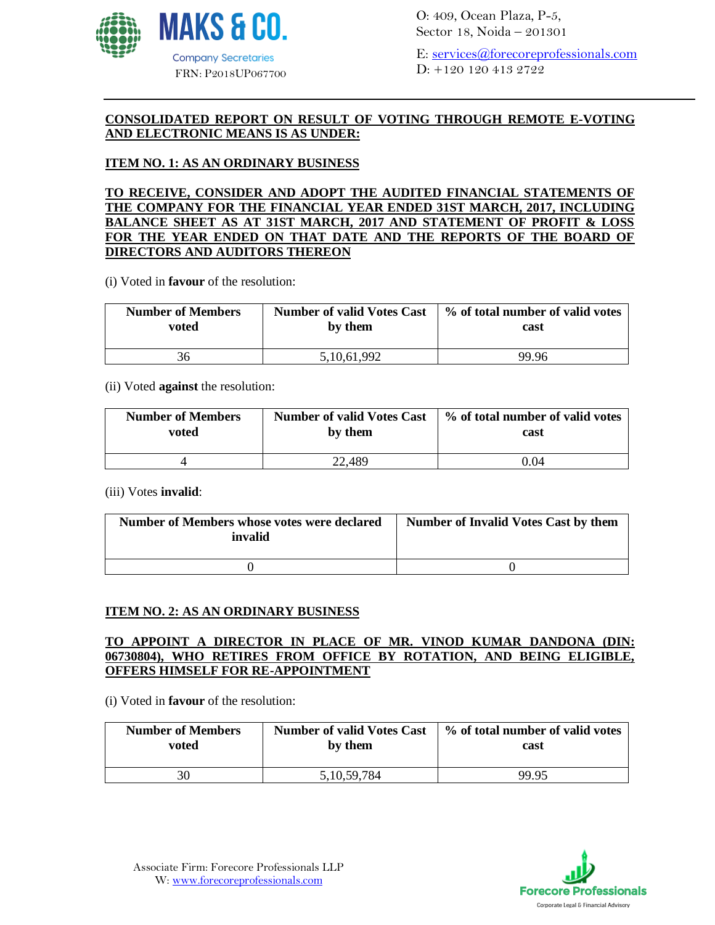

O: 409, Ocean Plaza, P-5, Sector 18, Noida – 201301

E: [services@forecoreprofessionals.com](mailto:services@forecoreprofessionals.com) D: +120 120 413 2722

#### **CONSOLIDATED REPORT ON RESULT OF VOTING THROUGH REMOTE E-VOTING AND ELECTRONIC MEANS IS AS UNDER:**

# **ITEM NO. 1: AS AN ORDINARY BUSINESS**

**TO RECEIVE, CONSIDER AND ADOPT THE AUDITED FINANCIAL STATEMENTS OF THE COMPANY FOR THE FINANCIAL YEAR ENDED 31ST MARCH, 2017, INCLUDING BALANCE SHEET AS AT 31ST MARCH, 2017 AND STATEMENT OF PROFIT & LOSS FOR THE YEAR ENDED ON THAT DATE AND THE REPORTS OF THE BOARD OF DIRECTORS AND AUDITORS THEREON**

(i) Voted in **favour** of the resolution:

| <b>Number of Members</b> | <b>Number of valid Votes Cast</b> | % of total number of valid votes |
|--------------------------|-----------------------------------|----------------------------------|
| voted                    | by them                           | cast                             |
| 36                       | 5, 10, 61, 992                    | 99.96                            |

#### (ii) Voted **against** the resolution:

| <b>Number of Members</b> | <b>Number of valid Votes Cast</b> | % of total number of valid votes |
|--------------------------|-----------------------------------|----------------------------------|
| voted                    | by them                           | cast                             |
|                          | 22,489                            | 0.04                             |

(iii) Votes **invalid**:

| Number of Members whose votes were declared<br>invalid | Number of Invalid Votes Cast by them |
|--------------------------------------------------------|--------------------------------------|
|                                                        |                                      |

#### **ITEM NO. 2: AS AN ORDINARY BUSINESS**

### **TO APPOINT A DIRECTOR IN PLACE OF MR. VINOD KUMAR DANDONA (DIN: 06730804), WHO RETIRES FROM OFFICE BY ROTATION, AND BEING ELIGIBLE, OFFERS HIMSELF FOR RE-APPOINTMENT**

(i) Voted in **favour** of the resolution:

| <b>Number of Members</b> | <b>Number of valid Votes Cast</b> | % of total number of valid votes |
|--------------------------|-----------------------------------|----------------------------------|
| voted                    | by them                           | cast                             |
| 30                       | 5, 10, 59, 784                    | 99.95                            |

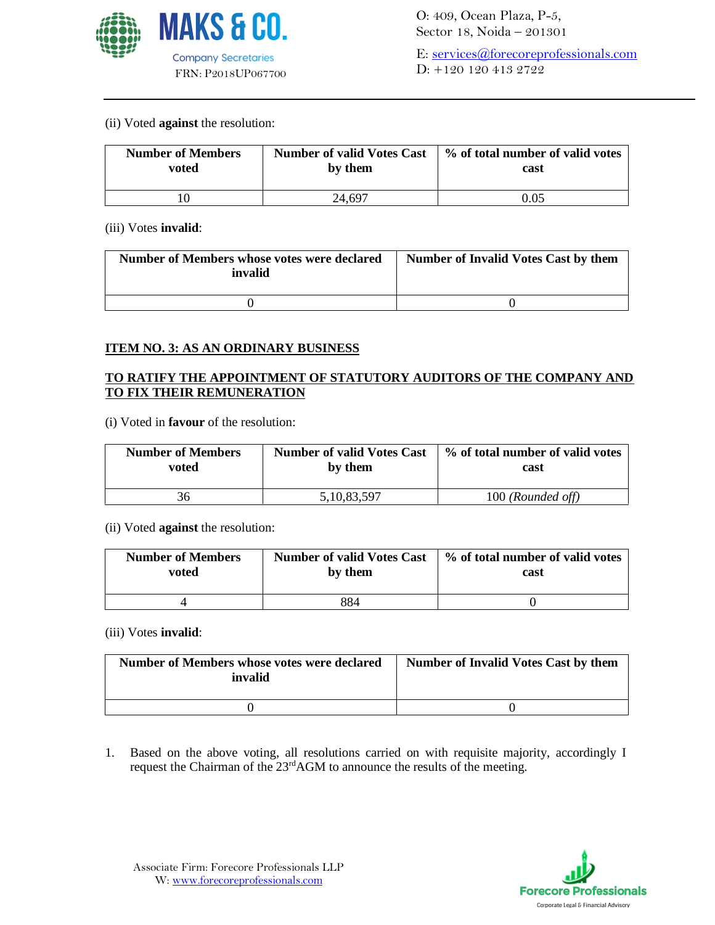

#### (ii) Voted **against** the resolution:

| <b>Number of Members</b> | <b>Number of valid Votes Cast</b> | % of total number of valid votes |
|--------------------------|-----------------------------------|----------------------------------|
| voted                    | by them                           | cast                             |
|                          | 24.697                            | 0.05                             |

#### (iii) Votes **invalid**:

| Number of Members whose votes were declared<br>invalid | <b>Number of Invalid Votes Cast by them</b> |
|--------------------------------------------------------|---------------------------------------------|
|                                                        |                                             |

### **ITEM NO. 3: AS AN ORDINARY BUSINESS**

## **TO RATIFY THE APPOINTMENT OF STATUTORY AUDITORS OF THE COMPANY AND TO FIX THEIR REMUNERATION**

(i) Voted in **favour** of the resolution:

| <b>Number of Members</b> | <b>Number of valid Votes Cast</b> | % of total number of valid votes |
|--------------------------|-----------------------------------|----------------------------------|
| voted                    | by them                           | cast                             |
| 36                       | 5, 10, 83, 597                    | 100 (Rounded off)                |

#### (ii) Voted **against** the resolution:

| <b>Number of Members</b> | <b>Number of valid Votes Cast</b> | % of total number of valid votes |
|--------------------------|-----------------------------------|----------------------------------|
| voted                    | by them                           | cast                             |
|                          | 884                               |                                  |

#### (iii) Votes **invalid**:

| Number of Members whose votes were declared<br>invalid | <b>Number of Invalid Votes Cast by them</b> |
|--------------------------------------------------------|---------------------------------------------|
|                                                        |                                             |

1. Based on the above voting, all resolutions carried on with requisite majority, accordingly I request the Chairman of the 23<sup>rd</sup>AGM to announce the results of the meeting.